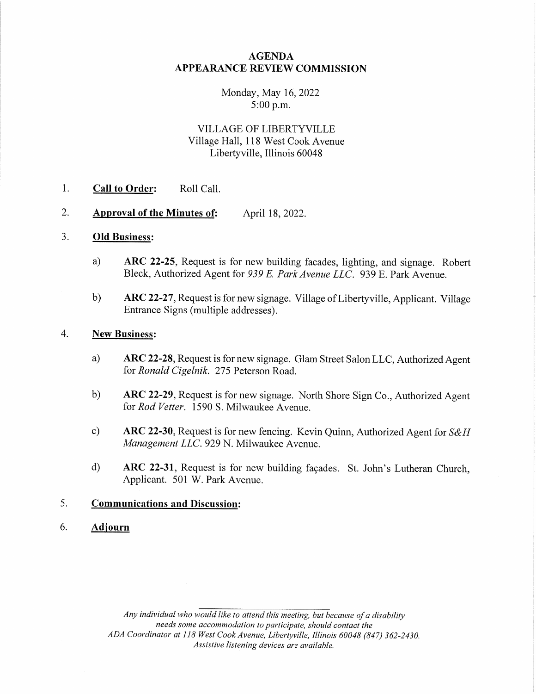### AGENDA APPEARANCE REVIEW COMMISSION

#### Monday, May 16,2022 5:00 p.m.

# VILLAGE OF LIBERTYVILLE Village Hall, 118 West Cook Avenue Libertyville, Illinois 60048

- 1. Call to Order: Roll Call.
- 2. Approval of the Minutes of: April 18, 2022.

### 3. Old Business:

- a) ARC 22-25, Request is for new building facades, lighting, and signage. Robert Bleck, Authorized Agent for 939 E. Park Avenue LLC. 939 E. Park Avenue.
- b) ARC 22-27, Request is for new signage. Village of Liberty ville, Applicant. Village Entrance Signs (multiple addresses).

#### 4. New Business:

- a) ARC 22-28, Request is for new signage. Glam Street Salon LLC, Authorized Agent for Ronald Cigelnik. 275 Peterson Road.
- b) ARC 22-29, Request is for new signage. North Shore Sign Co., Authorized Agent for Rod Vetter. 1590 S. Milwaukee Avenue.
- c) ARC 22-30, Request is for new fencing. Kevin Quinn, Authorized Agent for  $S\&H$ Management LLC. 929 N. Milwaukee Avenue.
- d) ARC 22-31, Request is for new building facades. St. John's Lutheran Church, Applicant. 501 W. Park Avenue.

## 5. Communications and Discussion :

#### 6. Adjourn